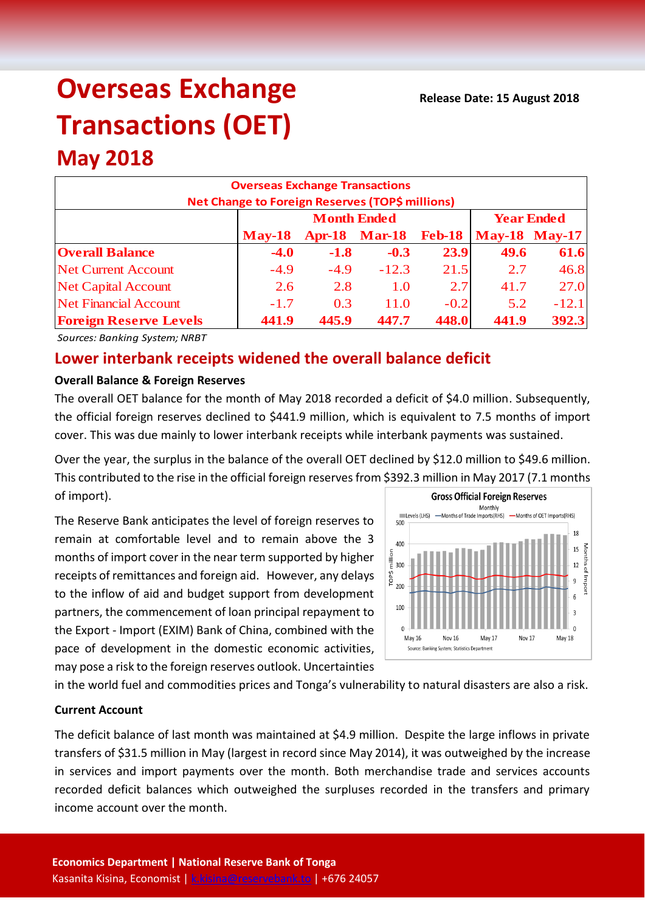# **Overseas Exchange Transactions (OET)**

## **May 2018**

| <b>Overseas Exchange Transactions</b><br>Net Change to Foreign Reserves (TOP\$ millions) |                    |        |                      |               |                      |         |  |
|------------------------------------------------------------------------------------------|--------------------|--------|----------------------|---------------|----------------------|---------|--|
|                                                                                          | <b>Month Ended</b> |        |                      |               | <b>Year Ended</b>    |         |  |
|                                                                                          | $M$ ay-18          |        | <b>Apr-18 Mar-18</b> | <b>Feb-18</b> | <b>May-18 May-17</b> |         |  |
| <b>Overall Balance</b>                                                                   | $-4.0$             | $-1.8$ | $-0.3$               | 23.9          | 49.6                 | 61.6    |  |
| <b>Net Current Account</b>                                                               | $-4.9$             | $-4.9$ | $-12.3$              | 21.5          | 2.7                  | 46.8    |  |
| <b>Net Capital Account</b>                                                               | 2.6                | 2.8    | 1.0                  | 2.7           | 41.7                 | 27.0    |  |
| <b>Net Financial Account</b>                                                             | $-1.7$             | 0.3    | 11.0                 | $-0.2$        | 5.2                  | $-12.1$ |  |
| <b>Foreign Reserve Levels</b>                                                            | 441.9              | 445.9  | 447.7                | 448.0         | 441.9                | 392.3   |  |

*Sources: Banking System; NRBT*

### **Lower interbank receipts widened the overall balance deficit**

#### **Overall Balance & Foreign Reserves**

The overall OET balance for the month of May 2018 recorded a deficit of \$4.0 million. Subsequently, the official foreign reserves declined to \$441.9 million, which is equivalent to 7.5 months of import cover. This was due mainly to lower interbank receipts while interbank payments was sustained.

Over the year, the surplus in the balance of the overall OET declined by \$12.0 million to \$49.6 million. This contributed to the rise in the official foreign reservesfrom \$392.3 million in May 2017 (7.1 months of import). **Gross Official Foreign Reserves** 

The Reserve Bank anticipates the level of foreign reserves to remain at comfortable level and to remain above the 3 months of import cover in the near term supported by higher receipts of remittances and foreign aid. However, any delays to the inflow of aid and budget support from development partners, the commencement of loan principal repayment to the Export - Import (EXIM) Bank of China, combined with the pace of development in the domestic economic activities, may pose a risk to the foreign reserves outlook. Uncertainties



in the world fuel and commodities prices and Tonga's vulnerability to natural disasters are also a risk.

#### **Current Account**

The deficit balance of last month was maintained at \$4.9 million. Despite the large inflows in private transfers of \$31.5 million in May (largest in record since May 2014), it was outweighed by the increase in services and import payments over the month. Both merchandise trade and services accounts recorded deficit balances which outweighed the surpluses recorded in the transfers and primary income account over the month.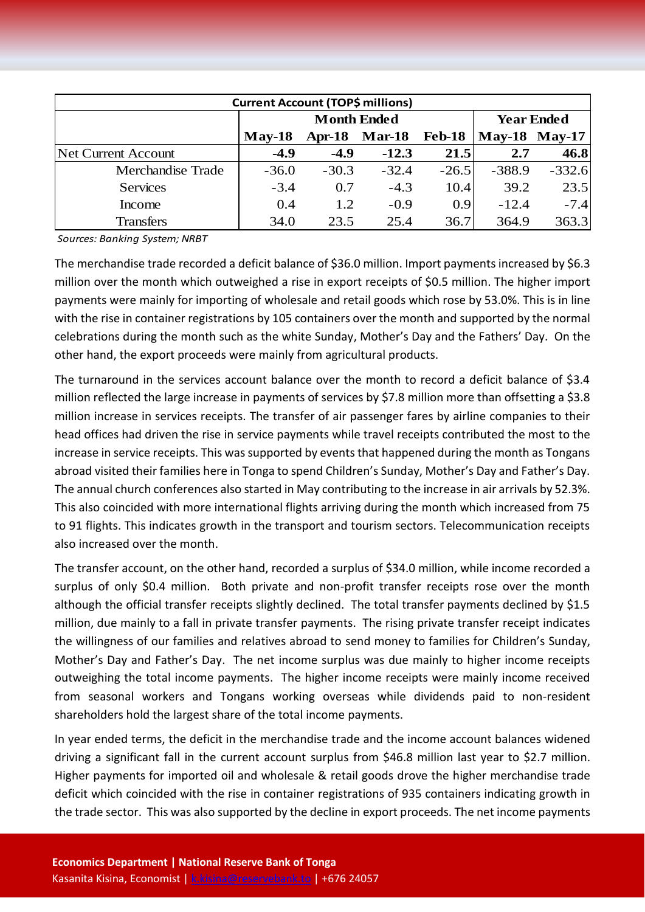| <b>Current Account (TOP\$ millions)</b> |                    |         |                      |         |                      |          |  |  |
|-----------------------------------------|--------------------|---------|----------------------|---------|----------------------|----------|--|--|
|                                         | <b>Month Ended</b> |         |                      |         | <b>Year Ended</b>    |          |  |  |
|                                         | $Mav-18$           |         | <b>Apr-18 Mar-18</b> | Feb-18  | <b>May-18 May-17</b> |          |  |  |
| Net Current Account                     | $-4.9$             | $-4.9$  | $-12.3$              | 21.5    | 2.7                  | 46.8     |  |  |
| Merchandise Trade                       | $-36.0$            | $-30.3$ | $-32.4$              | $-26.5$ | $-388.9$             | $-332.6$ |  |  |
| <b>Services</b>                         | $-3.4$             | 0.7     | $-4.3$               | 10.4    | 39.2                 | 23.5     |  |  |
| Income                                  | 0.4                | 1.2     | $-0.9$               | 0.9     | $-12.4$              | $-7.4$   |  |  |
| <b>Transfers</b>                        | 34.0               | 23.5    | 25.4                 | 36.7    | 364.9                | 363.3    |  |  |

*Sources: Banking System; NRBT*

The merchandise trade recorded a deficit balance of \$36.0 million. Import payments increased by \$6.3 million over the month which outweighed a rise in export receipts of \$0.5 million. The higher import payments were mainly for importing of wholesale and retail goods which rose by 53.0%. This is in line with the rise in container registrations by 105 containers over the month and supported by the normal celebrations during the month such as the white Sunday, Mother's Day and the Fathers' Day. On the other hand, the export proceeds were mainly from agricultural products.

The turnaround in the services account balance over the month to record a deficit balance of \$3.4 million reflected the large increase in payments of services by \$7.8 million more than offsetting a \$3.8 million increase in services receipts. The transfer of air passenger fares by airline companies to their head offices had driven the rise in service payments while travel receipts contributed the most to the increase in service receipts. This was supported by events that happened during the month as Tongans abroad visited their families here in Tonga to spend Children's Sunday, Mother's Day and Father's Day. The annual church conferences also started in May contributing to the increase in air arrivals by 52.3%. This also coincided with more international flights arriving during the month which increased from 75 to 91 flights. This indicates growth in the transport and tourism sectors. Telecommunication receipts also increased over the month.

The transfer account, on the other hand, recorded a surplus of \$34.0 million, while income recorded a surplus of only \$0.4 million. Both private and non-profit transfer receipts rose over the month although the official transfer receipts slightly declined. The total transfer payments declined by \$1.5 million, due mainly to a fall in private transfer payments. The rising private transfer receipt indicates the willingness of our families and relatives abroad to send money to families for Children's Sunday, Mother's Day and Father's Day. The net income surplus was due mainly to higher income receipts outweighing the total income payments. The higher income receipts were mainly income received from seasonal workers and Tongans working overseas while dividends paid to non-resident shareholders hold the largest share of the total income payments.

In year ended terms, the deficit in the merchandise trade and the income account balances widened driving a significant fall in the current account surplus from \$46.8 million last year to \$2.7 million. Higher payments for imported oil and wholesale & retail goods drove the higher merchandise trade deficit which coincided with the rise in container registrations of 935 containers indicating growth in the trade sector. This was also supported by the decline in export proceeds. The net income payments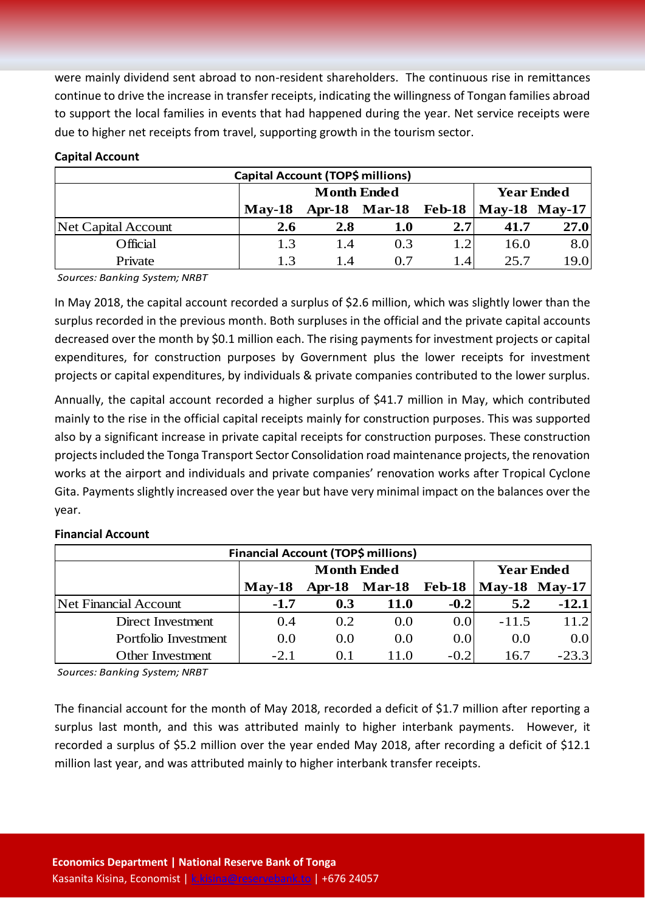were mainly dividend sent abroad to non-resident shareholders. The continuous rise in remittances continue to drive the increase in transfer receipts, indicating the willingness of Tongan families abroad to support the local families in events that had happened during the year. Net service receipts were due to higher net receipts from travel, supporting growth in the tourism sector.

#### **Capital Account**

| Capital Account (TOP\$ millions) |                    |     |                      |                  |                        |      |
|----------------------------------|--------------------|-----|----------------------|------------------|------------------------|------|
|                                  | <b>Month Ended</b> |     |                      |                  | <b>Year Ended</b>      |      |
|                                  | $\mathbf{Mav-18}$  |     | Apr-18 Mar-18 Feb-18 |                  | $\text{May-18}$ May-17 |      |
| Net Capital Account              | 2.6                | 2.8 | <b>1.0</b>           | 2.7              | 41.7                   | 27.0 |
| Official                         | 1.3                | 1.4 | 0.3                  | 1.2              | 16.0                   | 8.0  |
| Private                          | 1.3                | 14  | 0.7                  | 1.4 <sub>1</sub> | 25.7                   | 19.0 |

*Sources: Banking System; NRBT*

In May 2018, the capital account recorded a surplus of \$2.6 million, which was slightly lower than the surplus recorded in the previous month. Both surpluses in the official and the private capital accounts decreased over the month by \$0.1 million each. The rising payments for investment projects or capital expenditures, for construction purposes by Government plus the lower receipts for investment projects or capital expenditures, by individuals & private companies contributed to the lower surplus.

Annually, the capital account recorded a higher surplus of \$41.7 million in May, which contributed mainly to the rise in the official capital receipts mainly for construction purposes. This was supported also by a significant increase in private capital receipts for construction purposes. These construction projects included the Tonga Transport Sector Consolidation road maintenance projects, the renovation works at the airport and individuals and private companies' renovation works after Tropical Cyclone Gita. Payments slightly increased over the year but have very minimal impact on the balances over the year.

#### **Financial Account**

| Financial Account (TOP\$ millions) |                    |      |                      |        |                   |         |  |
|------------------------------------|--------------------|------|----------------------|--------|-------------------|---------|--|
|                                    | <b>Month Ended</b> |      |                      |        | <b>Year Ended</b> |         |  |
|                                    | $\mathbf{Mav-18}$  |      | Apr-18 Mar-18 Feb-18 |        | May-18 May-17     |         |  |
| Net Financial Account              | $-1.7$             | 0.3  | <b>11.0</b>          | $-0.2$ | 5.2               | $-12.1$ |  |
| Direct Investment                  | 0.4                | 0.2  | 0.0                  | 0.0    | $-11.5$           | 11.2    |  |
| Portfolio Investment               | 0.0                | 0.0  | 0.0                  | 0.0    | 0.0               | 0.0     |  |
| <b>Other Investment</b>            | $-2.1$             | O. I | 11.0                 | $-0.2$ | 16.7              | $-23.3$ |  |

*Sources: Banking System; NRBT*

The financial account for the month of May 2018, recorded a deficit of \$1.7 million after reporting a surplus last month, and this was attributed mainly to higher interbank payments. However, it recorded a surplus of \$5.2 million over the year ended May 2018, after recording a deficit of \$12.1 million last year, and was attributed mainly to higher interbank transfer receipts.